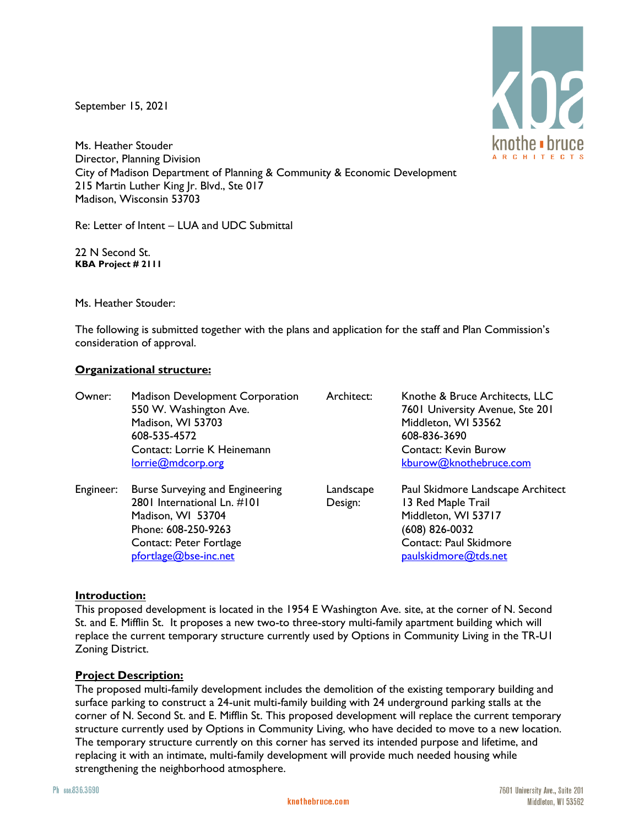September 15, 2021



Ms. Heather Stouder Director, Planning Division City of Madison Department of Planning & Community & Economic Development 215 Martin Luther King Jr. Blvd., Ste 017 Madison, Wisconsin 53703

Re: Letter of Intent – LUA and UDC Submittal

22 N Second St. **KBA Project # 2111**

Ms. Heather Stouder:

The following is submitted together with the plans and application for the staff and Plan Commission's consideration of approval.

# **Organizational structure:**

| Owner:    | <b>Madison Development Corporation</b><br>550 W. Washington Ave.<br>Madison, WI 53703<br>608-535-4572<br>Contact: Lorrie K Heinemann<br>lorrie@mdcorp.org             | Architect:           | Knothe & Bruce Architects, LLC<br>7601 University Avenue, Ste 201<br>Middleton, WI 53562<br>608-836-3690<br><b>Contact: Kevin Burow</b><br>kburow@knothebruce.com |
|-----------|-----------------------------------------------------------------------------------------------------------------------------------------------------------------------|----------------------|-------------------------------------------------------------------------------------------------------------------------------------------------------------------|
| Engineer: | <b>Burse Surveying and Engineering</b><br>2801 International Ln. #101<br>Madison, WI 53704<br>Phone: 608-250-9263<br>Contact: Peter Fortlage<br>pfortlage@bse-inc.net | Landscape<br>Design: | Paul Skidmore Landscape Architect<br>13 Red Maple Trail<br>Middleton, WI 53717<br>$(608)$ 826-0032<br>Contact: Paul Skidmore<br>paulskidmore@tds.net              |

# **Introduction:**

This proposed development is located in the 1954 E Washington Ave. site, at the corner of N. Second St. and E. Mifflin St. It proposes a new two-to three-story multi-family apartment building which will replace the current temporary structure currently used by Options in Community Living in the TR-U1 Zoning District.

# **Project Description:**

The proposed multi-family development includes the demolition of the existing temporary building and surface parking to construct a 24-unit multi-family building with 24 underground parking stalls at the corner of N. Second St. and E. Mifflin St. This proposed development will replace the current temporary structure currently used by Options in Community Living, who have decided to move to a new location. The temporary structure currently on this corner has served its intended purpose and lifetime, and replacing it with an intimate, multi-family development will provide much needed housing while strengthening the neighborhood atmosphere.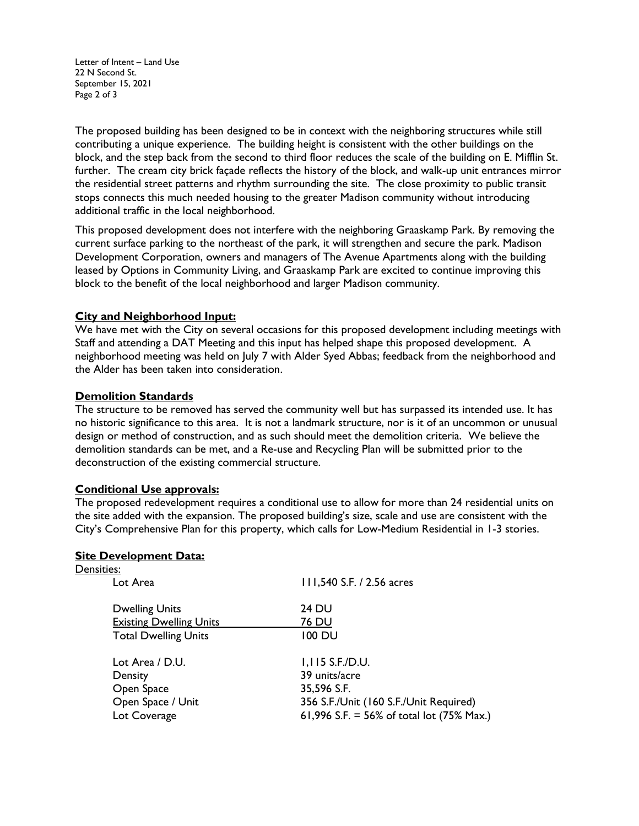Letter of Intent – Land Use 22 N Second St. September 15, 2021 Page 2 of 3

The proposed building has been designed to be in context with the neighboring structures while still contributing a unique experience. The building height is consistent with the other buildings on the block, and the step back from the second to third floor reduces the scale of the building on E. Mifflin St. further. The cream city brick façade reflects the history of the block, and walk-up unit entrances mirror the residential street patterns and rhythm surrounding the site. The close proximity to public transit stops connects this much needed housing to the greater Madison community without introducing additional traffic in the local neighborhood.

This proposed development does not interfere with the neighboring Graaskamp Park. By removing the current surface parking to the northeast of the park, it will strengthen and secure the park. Madison Development Corporation, owners and managers of The Avenue Apartments along with the building leased by Options in Community Living, and Graaskamp Park are excited to continue improving this block to the benefit of the local neighborhood and larger Madison community.

# **City and Neighborhood Input:**

We have met with the City on several occasions for this proposed development including meetings with Staff and attending a DAT Meeting and this input has helped shape this proposed development. A neighborhood meeting was held on July 7 with Alder Syed Abbas; feedback from the neighborhood and the Alder has been taken into consideration.

### **Demolition Standards**

The structure to be removed has served the community well but has surpassed its intended use. It has no historic significance to this area. It is not a landmark structure, nor is it of an uncommon or unusual design or method of construction, and as such should meet the demolition criteria. We believe the demolition standards can be met, and a Re-use and Recycling Plan will be submitted prior to the deconstruction of the existing commercial structure.

#### **Conditional Use approvals:**

The proposed redevelopment requires a conditional use to allow for more than 24 residential units on the site added with the expansion. The proposed building's size, scale and use are consistent with the City's Comprehensive Plan for this property, which calls for Low-Medium Residential in 1-3 stories.

# **Site Development Data:**

| Densities:                     |                                           |
|--------------------------------|-------------------------------------------|
| Lot Area                       | 111,540 S.F. / 2.56 acres                 |
| <b>Dwelling Units</b>          | 24 DU                                     |
| <b>Existing Dwelling Units</b> | 76 DU                                     |
| <b>Total Dwelling Units</b>    | 100 DU                                    |
| Lot Area / D.U.                | I, I I5 S.F.D.U.                          |
| Density                        | 39 units/acre                             |
| Open Space                     | 35,596 S.F.                               |
| Open Space / Unit              | 356 S.F./Unit (160 S.F./Unit Required)    |
| Lot Coverage                   | 61,996 S.F. = 56% of total lot (75% Max.) |